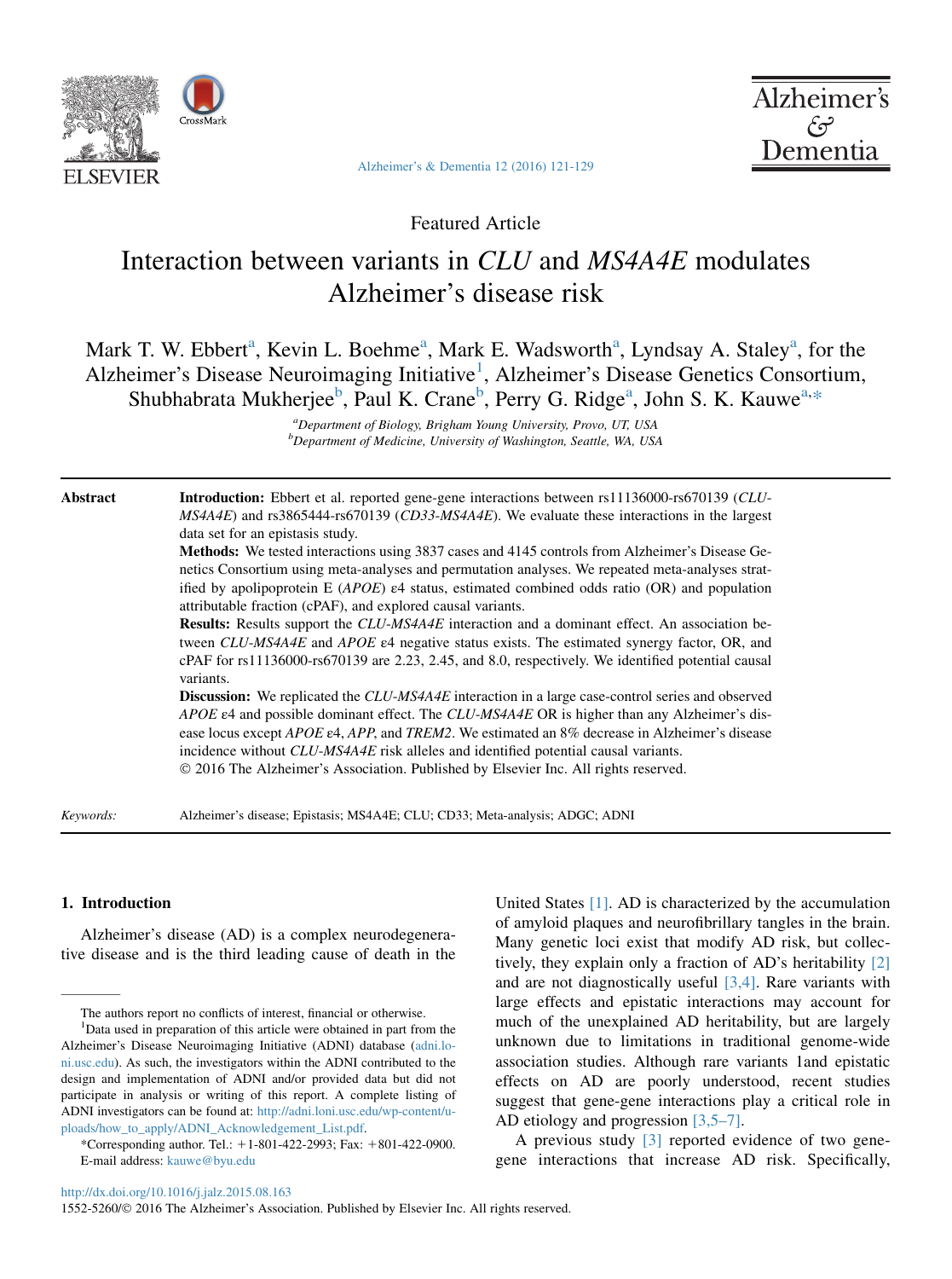

[Alzheimer's & Dementia 12 \(2016\) 121-129](http://dx.doi.org/10.1016/j.jalz.2015.08.163)



Featured Article

# Interaction between variants in CLU and MS4A4E modulates Alzheimer's disease risk

## Mark T. W. Ebbert<sup>a</sup>, Kevin L. Boehme<sup>a</sup>, Mark E. Wadsworth<sup>a</sup>, Lyndsay A. Staley<sup>a</sup>, for the Alzheimer's Disease Neuroimaging Initiative<sup>1</sup>, Alzheimer's Disease Genetics Consortium, Shubhabrata Mukherjee<sup>b</sup>, Paul K. Crane<sup>b</sup>, Perry G. Ridge<sup>a</sup>, John S. K. Kauwe<sup>a,\*</sup>

<sup>a</sup>Department of Biology, Brigham Young University, Provo, UT, USA <sup>b</sup>Department of Medicine, University of Washington, Seattle, WA, USA

Abstract Introduction: Ebbert et al. reported gene-gene interactions between rs11136000-rs670139 (CLU-MS4A4E) and rs3865444-rs670139 (CD33-MS4A4E). We evaluate these interactions in the largest data set for an epistasis study.

> Methods: We tested interactions using 3837 cases and 4145 controls from Alzheimer's Disease Genetics Consortium using meta-analyses and permutation analyses. We repeated meta-analyses stratified by apolipoprotein E  $(APOE)$   $\varepsilon$ 4 status, estimated combined odds ratio (OR) and population attributable fraction (cPAF), and explored causal variants.

> Results: Results support the CLU-MS4A4E interaction and a dominant effect. An association between CLU-MS4A4E and APOE ε4 negative status exists. The estimated synergy factor, OR, and cPAF for rs11136000-rs670139 are 2.23, 2.45, and 8.0, respectively. We identified potential causal variants.

> **Discussion:** We replicated the CLU-MS4A4E interaction in a large case-control series and observed APOE ε4 and possible dominant effect. The CLU-MS4A4E OR is higher than any Alzheimer's disease locus except APOE ε4, APP, and TREM2. We estimated an 8% decrease in Alzheimer's disease incidence without CLU-MS4A4E risk alleles and identified potential causal variants. 2016 The Alzheimer's Association. Published by Elsevier Inc. All rights reserved.

Keywords: Alzheimer's disease; Epistasis; MS4A4E; CLU; CD33; Meta-analysis; ADGC; ADNI

#### 1. Introduction

Alzheimer's disease (AD) is a complex neurodegenerative disease and is the third leading cause of death in the United States [\[1\].](#page-7-0) AD is characterized by the accumulation of amyloid plaques and neurofibrillary tangles in the brain. Many genetic loci exist that modify AD risk, but collectively, they explain only a fraction of AD's heritability [\[2\]](#page-7-0) and are not diagnostically useful [\[3,4\].](#page-7-0) Rare variants with large effects and epistatic interactions may account for much of the unexplained AD heritability, but are largely unknown due to limitations in traditional genome-wide association studies. Although rare variants 1and epistatic effects on AD are poorly understood, recent studies suggest that gene-gene interactions play a critical role in AD etiology and progression [\[3,5–7\]](#page-7-0).

A previous study [\[3\]](#page-7-0) reported evidence of two genegene interactions that increase AD risk. Specifically,

The authors report no conflicts of interest, financial or otherwise.

<sup>&</sup>lt;sup>1</sup>Data used in preparation of this article were obtained in part from the Alzheimer's Disease Neuroimaging Initiative (ADNI) database [\(adni.lo](http://adni.loni.usc.edu)[ni.usc.edu](http://adni.loni.usc.edu)). As such, the investigators within the ADNI contributed to the design and implementation of ADNI and/or provided data but did not participate in analysis or writing of this report. A complete listing of ADNI investigators can be found at: [http://adni.loni.usc.edu/wp-content/u](http://adni.loni.usc.edu/wp-content/uploads/how_to_apply/ADNI_Acknowledgement_List.pdf)[ploads/how\\_to\\_apply/ADNI\\_Acknowledgement\\_List.pdf](http://adni.loni.usc.edu/wp-content/uploads/how_to_apply/ADNI_Acknowledgement_List.pdf).

<sup>\*</sup>Corresponding author. Tel.: 11-801-422-2993; Fax: 1801-422-0900. E-mail address: [kauwe@byu.edu](mailto:kauwe@byu.edu)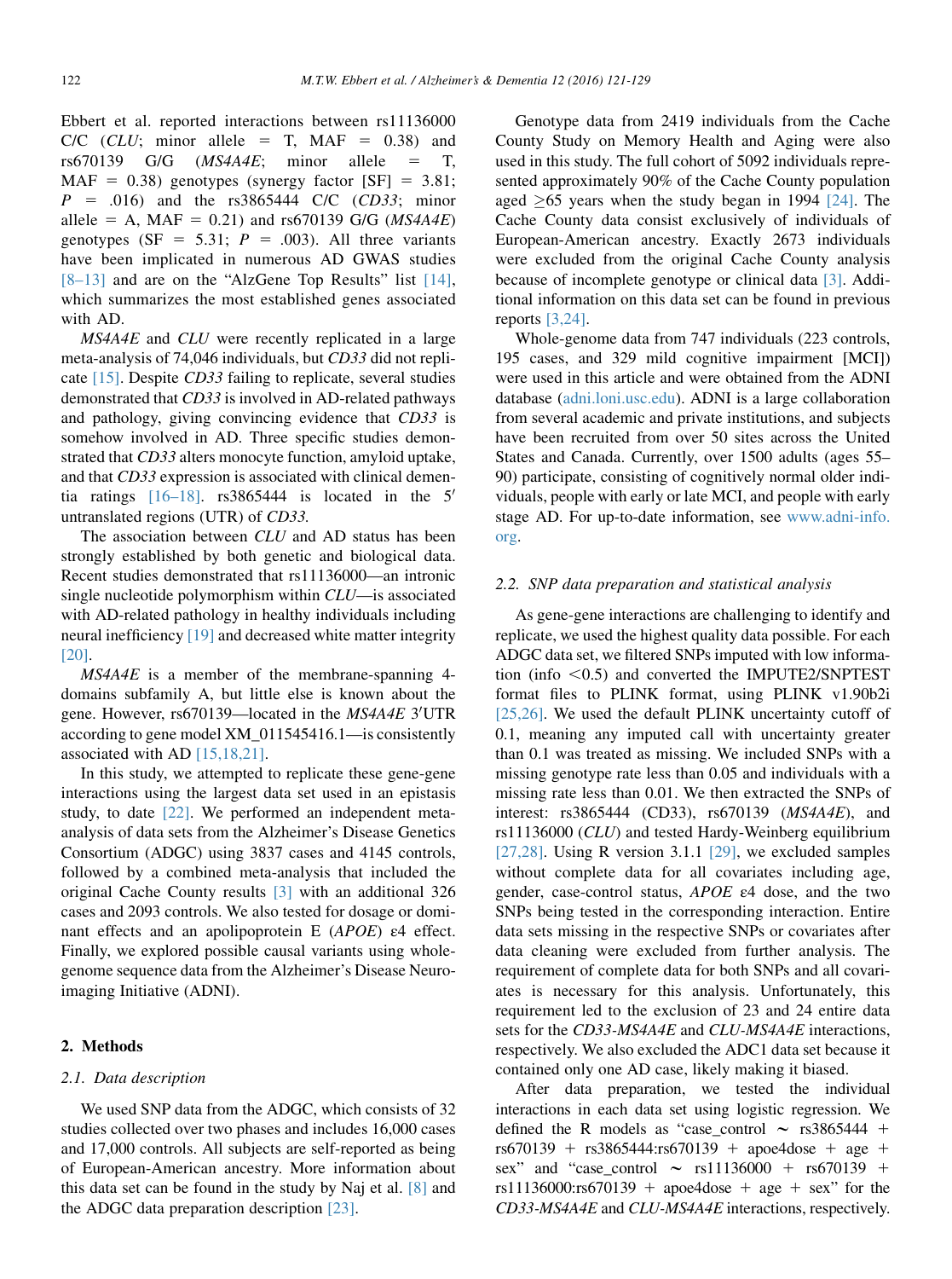Ebbert et al. reported interactions between rs11136000  $C/C$  (CLU; minor allele = T, MAF = 0.38) and rs670139 G/G  $(MS4A4E;$  minor allele = T,  $MAF = 0.38$ ) genotypes (synergy factor [SF] = 3.81;  $P = .016$ ) and the rs3865444 C/C (CD33; minor allele = A, MAF = 0.21) and rs670139 G/G ( $MS4A4E$ ) genotypes (SF = 5.31;  $P = .003$ ). All three variants have been implicated in numerous AD GWAS studies [\[8–13\]](#page-7-0) and are on the "AlzGene Top Results" list [\[14\],](#page-8-0) which summarizes the most established genes associated with AD.

MS4A4E and CLU were recently replicated in a large meta-analysis of 74,046 individuals, but CD33 did not replicate [\[15\].](#page-8-0) Despite CD33 failing to replicate, several studies demonstrated that CD33 is involved in AD-related pathways and pathology, giving convincing evidence that CD33 is somehow involved in AD. Three specific studies demonstrated that CD33 alters monocyte function, amyloid uptake, and that CD33 expression is associated with clinical dementia ratings  $[16-18]$ . rs3865444 is located in the 5' untranslated regions (UTR) of CD33.

The association between CLU and AD status has been strongly established by both genetic and biological data. Recent studies demonstrated that rs11136000—an intronic single nucleotide polymorphism within CLU—is associated with AD-related pathology in healthy individuals including neural inefficiency [\[19\]](#page-8-0) and decreased white matter integrity [\[20\].](#page-8-0)

MS4A4E is a member of the membrane-spanning 4 domains subfamily A, but little else is known about the gene. However, rs670139—located in the MS4A4E 3'UTR according to gene model XM\_011545416.1—is consistently associated with AD [\[15,18,21\]](#page-8-0).

In this study, we attempted to replicate these gene-gene interactions using the largest data set used in an epistasis study, to date [\[22\]](#page-8-0). We performed an independent metaanalysis of data sets from the Alzheimer's Disease Genetics Consortium (ADGC) using 3837 cases and 4145 controls, followed by a combined meta-analysis that included the original Cache County results [\[3\]](#page-7-0) with an additional 326 cases and 2093 controls. We also tested for dosage or dominant effects and an apolipoprotein E (APOE) ε4 effect. Finally, we explored possible causal variants using wholegenome sequence data from the Alzheimer's Disease Neuroimaging Initiative (ADNI).

#### 2. Methods

#### 2.1. Data description

We used SNP data from the ADGC, which consists of 32 studies collected over two phases and includes 16,000 cases and 17,000 controls. All subjects are self-reported as being of European-American ancestry. More information about this data set can be found in the study by Naj et al. [\[8\]](#page-7-0) and the ADGC data preparation description [\[23\].](#page-8-0)

Genotype data from 2419 individuals from the Cache County Study on Memory Health and Aging were also used in this study. The full cohort of 5092 individuals represented approximately 90% of the Cache County population aged  $\geq 65$  years when the study began in 1994 [\[24\].](#page-8-0) The Cache County data consist exclusively of individuals of European-American ancestry. Exactly 2673 individuals were excluded from the original Cache County analysis because of incomplete genotype or clinical data [\[3\]](#page-7-0). Additional information on this data set can be found in previous reports [\[3,24\].](#page-7-0)

Whole-genome data from 747 individuals (223 controls, 195 cases, and 329 mild cognitive impairment [MCI]) were used in this article and were obtained from the ADNI database ([adni.loni.usc.edu\)](http://adni.loni.usc.edu). ADNI is a large collaboration from several academic and private institutions, and subjects have been recruited from over 50 sites across the United States and Canada. Currently, over 1500 adults (ages 55– 90) participate, consisting of cognitively normal older individuals, people with early or late MCI, and people with early stage AD. For up-to-date information, see [www.adni-info.](http://www.adni-info.org) [org](http://www.adni-info.org).

#### 2.2. SNP data preparation and statistical analysis

As gene-gene interactions are challenging to identify and replicate, we used the highest quality data possible. For each ADGC data set, we filtered SNPs imputed with low information (info  $< 0.5$ ) and converted the IMPUTE2/SNPTEST format files to PLINK format, using PLINK v1.90b2i [\[25,26\]](#page-8-0). We used the default PLINK uncertainty cutoff of 0.1, meaning any imputed call with uncertainty greater than 0.1 was treated as missing. We included SNPs with a missing genotype rate less than 0.05 and individuals with a missing rate less than 0.01. We then extracted the SNPs of interest: rs3865444 (CD33), rs670139 (MS4A4E), and rs11136000 (CLU) and tested Hardy-Weinberg equilibrium [\[27,28\]](#page-8-0). Using R version 3.1.1 [\[29\],](#page-8-0) we excluded samples without complete data for all covariates including age, gender, case-control status, APOE ε4 dose, and the two SNPs being tested in the corresponding interaction. Entire data sets missing in the respective SNPs or covariates after data cleaning were excluded from further analysis. The requirement of complete data for both SNPs and all covariates is necessary for this analysis. Unfortunately, this requirement led to the exclusion of 23 and 24 entire data sets for the CD33-MS4A4E and CLU-MS4A4E interactions, respectively. We also excluded the ADC1 data set because it contained only one AD case, likely making it biased.

After data preparation, we tested the individual interactions in each data set using logistic regression. We defined the R models as "case control  $\sim$  rs3865444 +  $rs670139 + rs3865444:rs670139 + apoe4dose + age +$ sex" and "case\_control  $\sim$  rs11136000 + rs670139 + rs11136000:rs670139 + apoe4dose + age + sex" for the CD33-MS4A4E and CLU-MS4A4E interactions, respectively.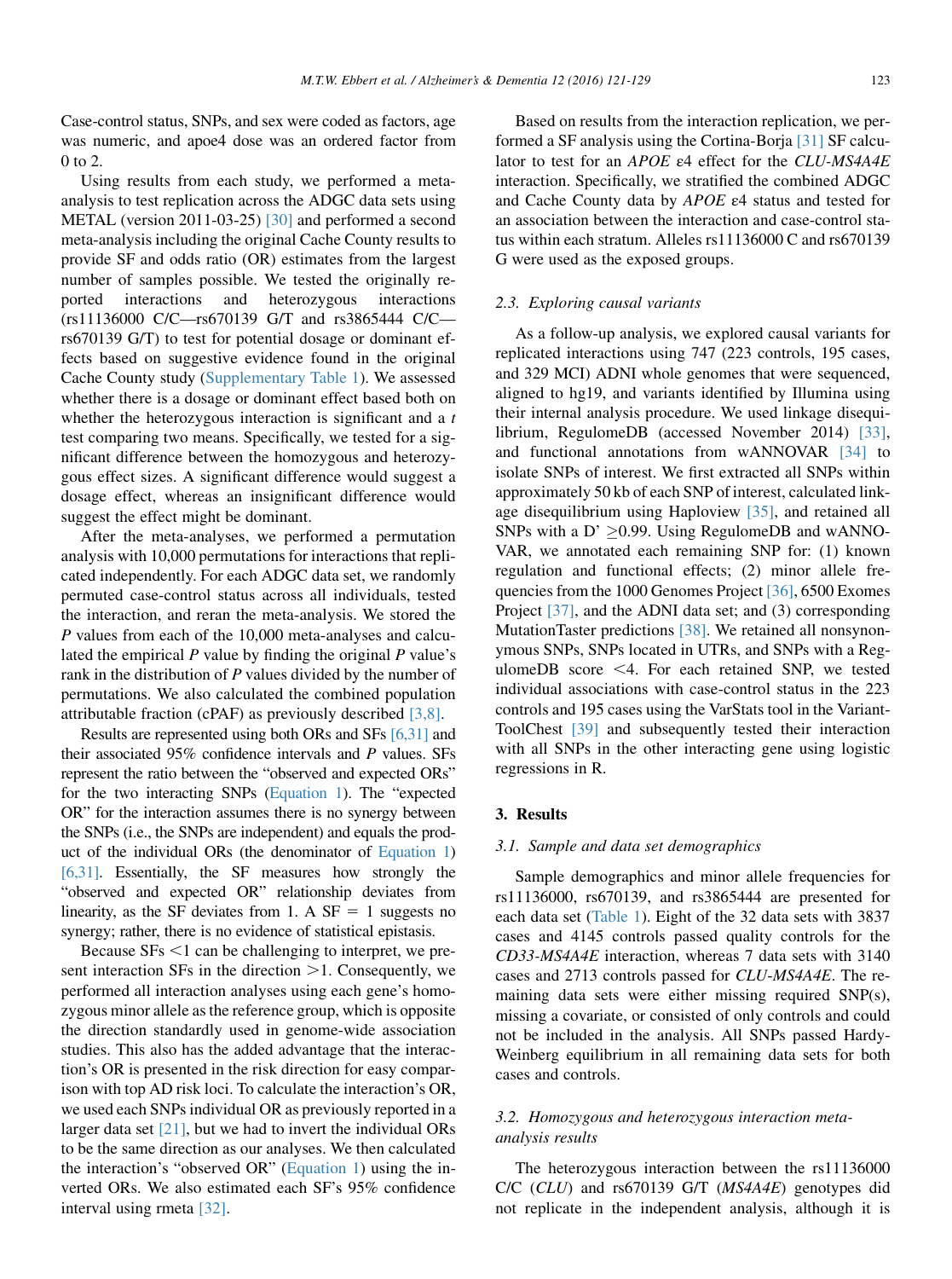Case-control status, SNPs, and sex were coded as factors, age was numeric, and apoe4 dose was an ordered factor from 0 to 2.

Using results from each study, we performed a metaanalysis to test replication across the ADGC data sets using METAL (version 2011-03-25) [\[30\]](#page-8-0) and performed a second meta-analysis including the original Cache County results to provide SF and odds ratio (OR) estimates from the largest number of samples possible. We tested the originally reported interactions and heterozygous interactions (rs11136000 C/C—rs670139 G/T and rs3865444 C/C rs670139 G/T) to test for potential dosage or dominant effects based on suggestive evidence found in the original Cache County study (Supplementary Table 1). We assessed whether there is a dosage or dominant effect based both on whether the heterozygous interaction is significant and a  $t$ test comparing two means. Specifically, we tested for a significant difference between the homozygous and heterozygous effect sizes. A significant difference would suggest a dosage effect, whereas an insignificant difference would suggest the effect might be dominant.

After the meta-analyses, we performed a permutation analysis with 10,000 permutations for interactions that replicated independently. For each ADGC data set, we randomly permuted case-control status across all individuals, tested the interaction, and reran the meta-analysis. We stored the P values from each of the 10,000 meta-analyses and calculated the empirical  $P$  value by finding the original  $P$  value's rank in the distribution of  $P$  values divided by the number of permutations. We also calculated the combined population attributable fraction (cPAF) as previously described [\[3,8\].](#page-7-0)

Results are represented using both ORs and SFs [\[6,31\]](#page-7-0) and their associated 95% confidence intervals and P values. SFs represent the ratio between the "observed and expected ORs" for the two interacting SNPs [\(Equation 1](#page-5-0)). The "expected OR" for the interaction assumes there is no synergy between the SNPs (i.e., the SNPs are independent) and equals the product of the individual ORs (the denominator of [Equation 1\)](#page-5-0) [\[6,31\].](#page-7-0) Essentially, the SF measures how strongly the "observed and expected OR" relationship deviates from linearity, as the SF deviates from 1. A  $SF = 1$  suggests no synergy; rather, there is no evidence of statistical epistasis.

Because  $SFs < 1$  can be challenging to interpret, we present interaction  $SFs$  in the direction  $\geq 1$ . Consequently, we performed all interaction analyses using each gene's homozygous minor allele as the reference group, which is opposite the direction standardly used in genome-wide association studies. This also has the added advantage that the interaction's OR is presented in the risk direction for easy comparison with top AD risk loci. To calculate the interaction's OR, we used each SNPs individual OR as previously reported in a larger data set  $[21]$ , but we had to invert the individual ORs to be the same direction as our analyses. We then calculated the interaction's "observed OR" ([Equation 1](#page-5-0)) using the inverted ORs. We also estimated each SF's 95% confidence interval using rmeta [\[32\].](#page-8-0)

Based on results from the interaction replication, we performed a SF analysis using the Cortina-Borja [\[31\]](#page-8-0) SF calculator to test for an APOE ε4 effect for the CLU-MS4A4E interaction. Specifically, we stratified the combined ADGC and Cache County data by APOE ε4 status and tested for an association between the interaction and case-control status within each stratum. Alleles rs11136000 C and rs670139 G were used as the exposed groups.

#### 2.3. Exploring causal variants

As a follow-up analysis, we explored causal variants for replicated interactions using 747 (223 controls, 195 cases, and 329 MCI) ADNI whole genomes that were sequenced, aligned to hg19, and variants identified by Illumina using their internal analysis procedure. We used linkage disequilibrium, RegulomeDB (accessed November 2014) [\[33\],](#page-8-0) and functional annotations from wANNOVAR [\[34\]](#page-8-0) to isolate SNPs of interest. We first extracted all SNPs within approximately 50 kb of each SNP of interest, calculated linkage disequilibrium using Haploview [\[35\],](#page-8-0) and retained all SNPs with a D'  $\geq$ 0.99. Using RegulomeDB and wANNO-VAR, we annotated each remaining SNP for: (1) known regulation and functional effects; (2) minor allele frequencies from the 1000 Genomes Project [\[36\],](#page-8-0) 6500 Exomes Project [\[37\],](#page-8-0) and the ADNI data set; and (3) corresponding MutationTaster predictions [\[38\].](#page-8-0) We retained all nonsynonymous SNPs, SNPs located in UTRs, and SNPs with a RegulomeDB score  $\leq$ 4. For each retained SNP, we tested individual associations with case-control status in the 223 controls and 195 cases using the VarStats tool in the Variant-ToolChest [\[39\]](#page-8-0) and subsequently tested their interaction with all SNPs in the other interacting gene using logistic regressions in R.

#### 3. Results

#### 3.1. Sample and data set demographics

Sample demographics and minor allele frequencies for rs11136000, rs670139, and rs3865444 are presented for each data set [\(Table 1](#page-3-0)). Eight of the 32 data sets with 3837 cases and 4145 controls passed quality controls for the CD33-MS4A4E interaction, whereas 7 data sets with 3140 cases and 2713 controls passed for CLU-MS4A4E. The remaining data sets were either missing required SNP(s), missing a covariate, or consisted of only controls and could not be included in the analysis. All SNPs passed Hardy-Weinberg equilibrium in all remaining data sets for both cases and controls.

#### 3.2. Homozygous and heterozygous interaction metaanalysis results

The heterozygous interaction between the rs11136000 C/C (CLU) and rs670139 G/T (MS4A4E) genotypes did not replicate in the independent analysis, although it is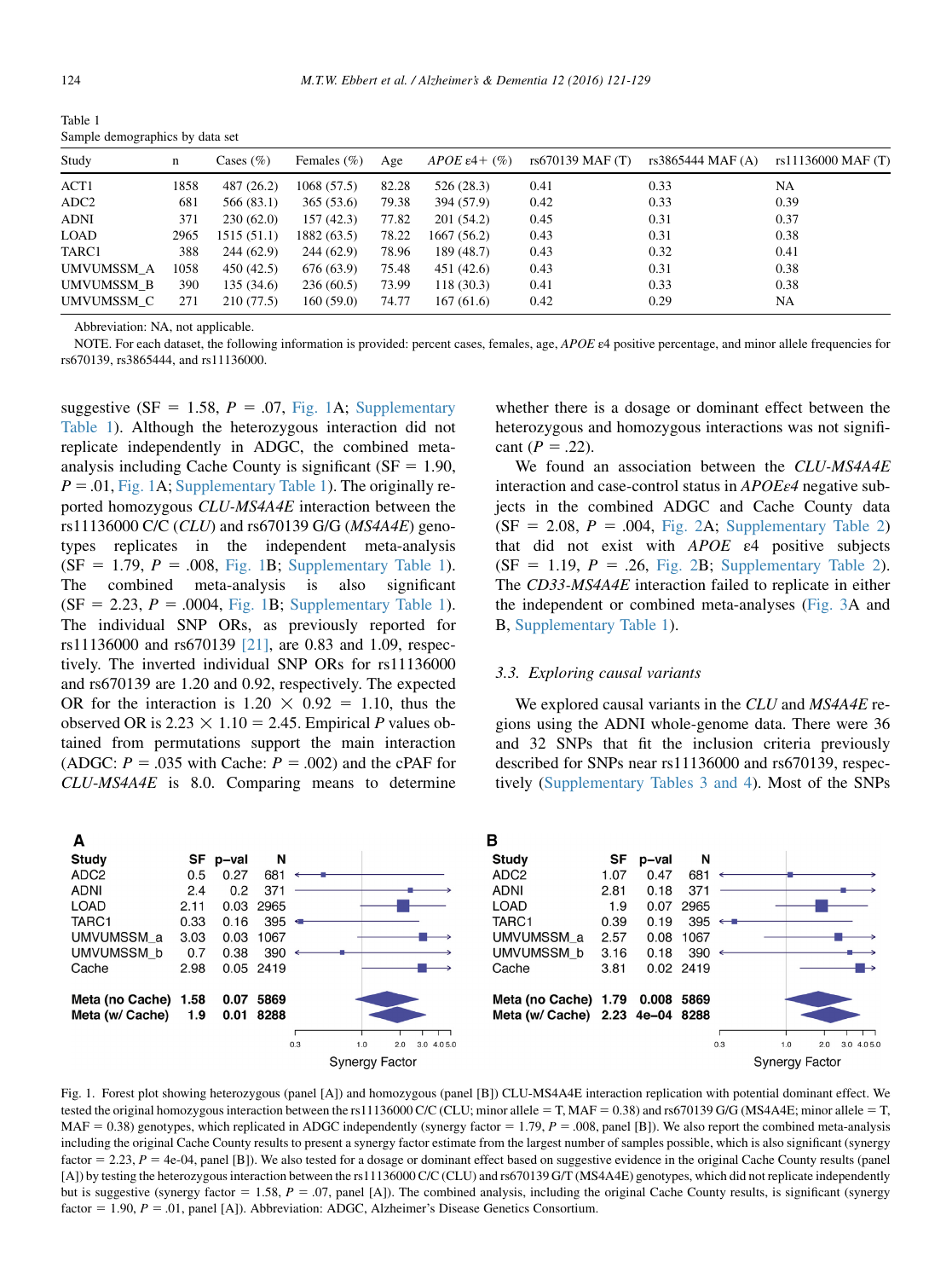<span id="page-3-0"></span>Table 1 Sample demographics by data set

| Study            | $\mathbf n$ | Cases $(\% )$ | Females $(\% )$ | Age   | APOE $\varepsilon$ 4+ $(\% )$ | rs670139 MAF (T) | rs3865444 MAF (A) | rs11136000 MAF (T) |
|------------------|-------------|---------------|-----------------|-------|-------------------------------|------------------|-------------------|--------------------|
| ACT1             | 1858        | 487 (26.2)    | 1068(57.5)      | 82.28 | 526(28.3)                     | 0.41             | 0.33              | NA                 |
| ADC <sub>2</sub> | 681         | 566 (83.1)    | 365(53.6)       | 79.38 | 394 (57.9)                    | 0.42             | 0.33              | 0.39               |
| <b>ADNI</b>      | 371         | 230(62.0)     | 157(42.3)       | 77.82 | 201(54.2)                     | 0.45             | 0.31              | 0.37               |
| LOAD             | 2965        | 1515(51.1)    | 1882(63.5)      | 78.22 | 1667 (56.2)                   | 0.43             | 0.31              | 0.38               |
| TARC1            | 388         | 244 (62.9)    | 244(62.9)       | 78.96 | 189 (48.7)                    | 0.43             | 0.32              | 0.41               |
| UMVUMSSM A       | 1058        | 450(42.5)     | 676 (63.9)      | 75.48 | 451 (42.6)                    | 0.43             | 0.31              | 0.38               |
| UMVUMSSM B       | 390         | 135(34.6)     | 236(60.5)       | 73.99 | 118(30.3)                     | 0.41             | 0.33              | 0.38               |
| UMVUMSSM C       | 271         | 210 (77.5)    | 160(59.0)       | 74.77 | 167(61.6)                     | 0.42             | 0.29              | NA                 |

Abbreviation: NA, not applicable.

NOTE. For each dataset, the following information is provided: percent cases, females, age, APOE  $\varepsilon$ 4 positive percentage, and minor allele frequencies for rs670139, rs3865444, and rs11136000.

suggestive (SF = 1.58,  $P = .07$ , Fig. 1A; Supplementary Table 1). Although the heterozygous interaction did not replicate independently in ADGC, the combined metaanalysis including Cache County is significant ( $SF = 1.90$ ,  $P = .01$ , Fig. 1A; Supplementary Table 1). The originally reported homozygous CLU-MS4A4E interaction between the rs11136000 C/C (CLU) and rs670139 G/G (MS4A4E) genotypes replicates in the independent meta-analysis  $(SF = 1.79, P = .008, Fig. 1B; Supplementary Table 1).$ The combined meta-analysis is also significant  $(SF = 2.23, P = .0004, Fig. 1B; Supplementary Table 1).$ The individual SNP ORs, as previously reported for rs11136000 and rs670139 [\[21\],](#page-8-0) are 0.83 and 1.09, respectively. The inverted individual SNP ORs for rs11136000 and rs670139 are 1.20 and 0.92, respectively. The expected OR for the interaction is  $1.20 \times 0.92 = 1.10$ , thus the observed OR is  $2.23 \times 1.10 = 2.45$ . Empirical P values obtained from permutations support the main interaction (ADGC:  $P = .035$  with Cache:  $P = .002$ ) and the cPAF for CLU-MS4A4E is 8.0. Comparing means to determine whether there is a dosage or dominant effect between the heterozygous and homozygous interactions was not significant ( $P = .22$ ).

We found an association between the CLU-MS4A4E interaction and case-control status in APOE<sub>ε4</sub> negative subjects in the combined ADGC and Cache County data  $(SF = 2.08, P = .004, Fig. 2A; Supplementary Table 2)$  $(SF = 2.08, P = .004, Fig. 2A; Supplementary Table 2)$  $(SF = 2.08, P = .004, Fig. 2A; Supplementary Table 2)$ that did not exist with  $APOE$   $\varepsilon$ 4 positive subjects  $(SF = 1.19, P = .26, Fig. 2B; Supplementary Table 2).$  $(SF = 1.19, P = .26, Fig. 2B; Supplementary Table 2).$  $(SF = 1.19, P = .26, Fig. 2B; Supplementary Table 2).$ The CD33-MS4A4E interaction failed to replicate in either the independent or combined meta-analyses ([Fig. 3A](#page-4-0) and B, Supplementary Table 1).

#### 3.3. Exploring causal variants

We explored causal variants in the CLU and MS4A4E regions using the ADNI whole-genome data. There were 36 and 32 SNPs that fit the inclusion criteria previously described for SNPs near rs11136000 and rs670139, respectively (Supplementary Tables 3 and 4). Most of the SNPs



Fig. 1. Forest plot showing heterozygous (panel [A]) and homozygous (panel [B]) CLU-MS4A4E interaction replication with potential dominant effect. We tested the original homozygous interaction between the rs11136000 C/C (CLU; minor allele = T, MAF = 0.38) and rs670139 G/G (MS4A4E; minor allele = T,  $MAF = 0.38$ ) genotypes, which replicated in ADGC independently (synergy factor = 1.79, P = .008, panel [B]). We also report the combined meta-analysis including the original Cache County results to present a synergy factor estimate from the largest number of samples possible, which is also significant (synergy factor = 2.23, P = 4e-04, panel [B]). We also tested for a dosage or dominant effect based on suggestive evidence in the original Cache County results (panel [A]) by testing the heterozygous interaction between the rs11136000 C/C (CLU) and rs670139 G/T (MS4A4E) genotypes, which did not replicate independently but is suggestive (synergy factor = 1.58,  $P = .07$ , panel [A]). The combined analysis, including the original Cache County results, is significant (synergy factor = 1.90,  $P = .01$ , panel [A]). Abbreviation: ADGC, Alzheimer's Disease Genetics Consortium.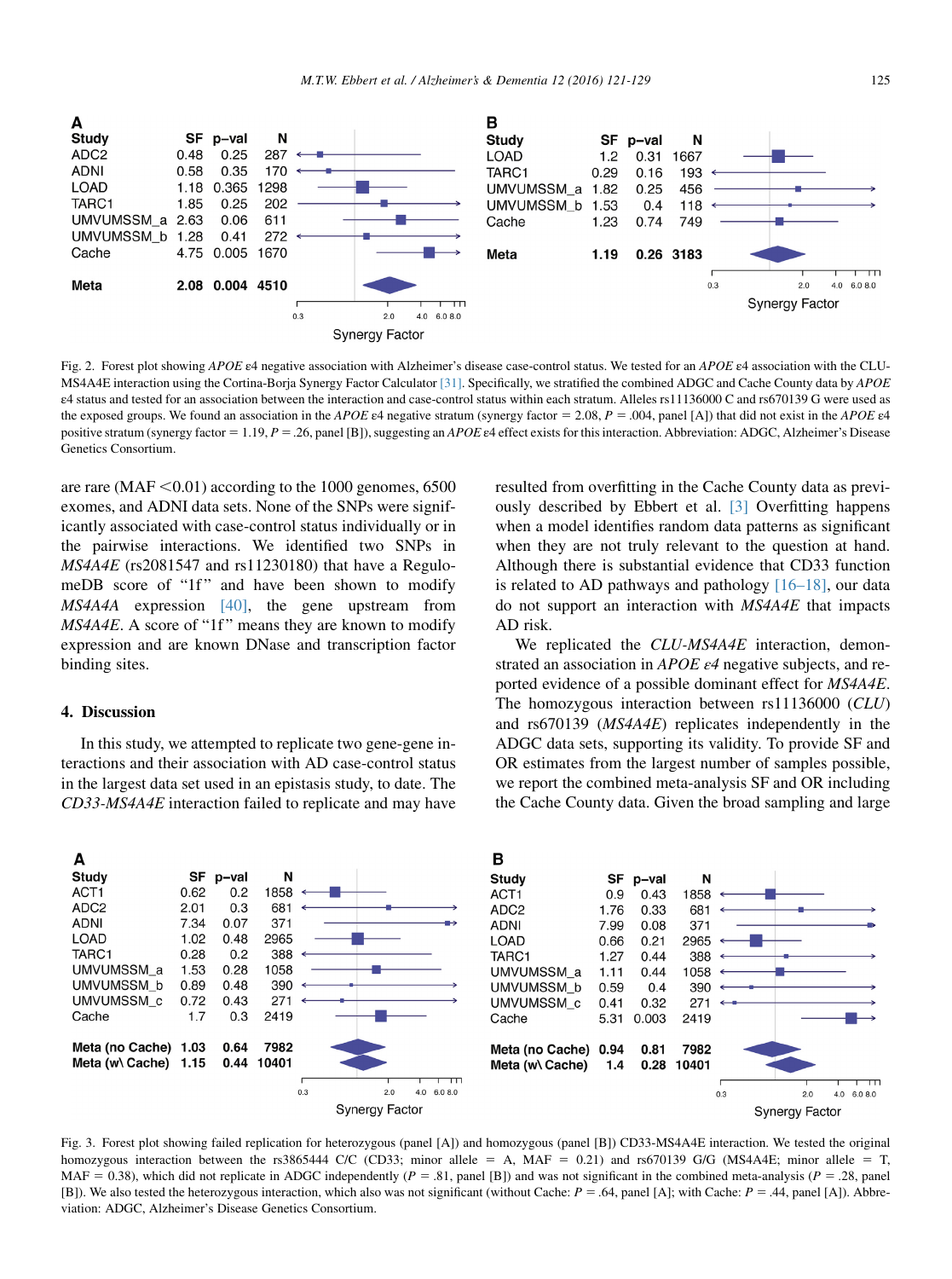<span id="page-4-0"></span>

Fig. 2. Forest plot showing APOE ε4 negative association with Alzheimer's disease case-control status. We tested for an APOE ε4 association with the CLU-MS4A4E interaction using the Cortina-Borja Synergy Factor Calculator [\[31\].](#page-8-0) Specifically, we stratified the combined ADGC and Cache County data by APOE ε4 status and tested for an association between the interaction and case-control status within each stratum. Alleles rs11136000 C and rs670139 G were used as the exposed groups. We found an association in the APOE  $\varepsilon$ 4 negative stratum (synergy factor = 2.08, P = .004, panel [A]) that did not exist in the APOE  $\varepsilon$ 4 positive stratum (synergy factor = 1.19, P = .26, panel [B]), suggesting an APOE  $\varepsilon$ 4 effect exists for this interaction. Abbreviation: ADGC, Alzheimer's Disease Genetics Consortium.

are rare ( $MAF < 0.01$ ) according to the 1000 genomes, 6500 exomes, and ADNI data sets. None of the SNPs were significantly associated with case-control status individually or in the pairwise interactions. We identified two SNPs in  $MS4A4E$  (rs2081547 and rs11230180) that have a RegulomeDB score of "1f" and have been shown to modify MS4A4A expression [\[40\],](#page-8-0) the gene upstream from  $MS4A4E$ . A score of "1f" means they are known to modify expression and are known DNase and transcription factor binding sites.

#### 4. Discussion

In this study, we attempted to replicate two gene-gene interactions and their association with AD case-control status in the largest data set used in an epistasis study, to date. The CD33-MS4A4E interaction failed to replicate and may have resulted from overfitting in the Cache County data as previously described by Ebbert et al. [\[3\]](#page-7-0) Overfitting happens when a model identifies random data patterns as significant when they are not truly relevant to the question at hand. Although there is substantial evidence that CD33 function is related to AD pathways and pathology [\[16–18\],](#page-8-0) our data do not support an interaction with MS4A4E that impacts AD risk.

We replicated the CLU-MS4A4E interaction, demonstrated an association in APOE  $\varepsilon$ 4 negative subjects, and reported evidence of a possible dominant effect for MS4A4E. The homozygous interaction between rs11136000 (CLU) and rs670139 (MS4A4E) replicates independently in the ADGC data sets, supporting its validity. To provide SF and OR estimates from the largest number of samples possible, we report the combined meta-analysis SF and OR including the Cache County data. Given the broad sampling and large



Fig. 3. Forest plot showing failed replication for heterozygous (panel [A]) and homozygous (panel [B]) CD33-MS4A4E interaction. We tested the original homozygous interaction between the rs3865444 C/C (CD33; minor allele = A, MAF = 0.21) and rs670139 G/G (MS4A4E; minor allele = T, MAF = 0.38), which did not replicate in ADGC independently ( $P = .81$ , panel [B]) and was not significant in the combined meta-analysis ( $P = .28$ , panel [B]). We also tested the heterozygous interaction, which also was not significant (without Cache:  $P = .64$ , panel [A]; with Cache:  $P = .44$ , panel [A]). Abbreviation: ADGC, Alzheimer's Disease Genetics Consortium.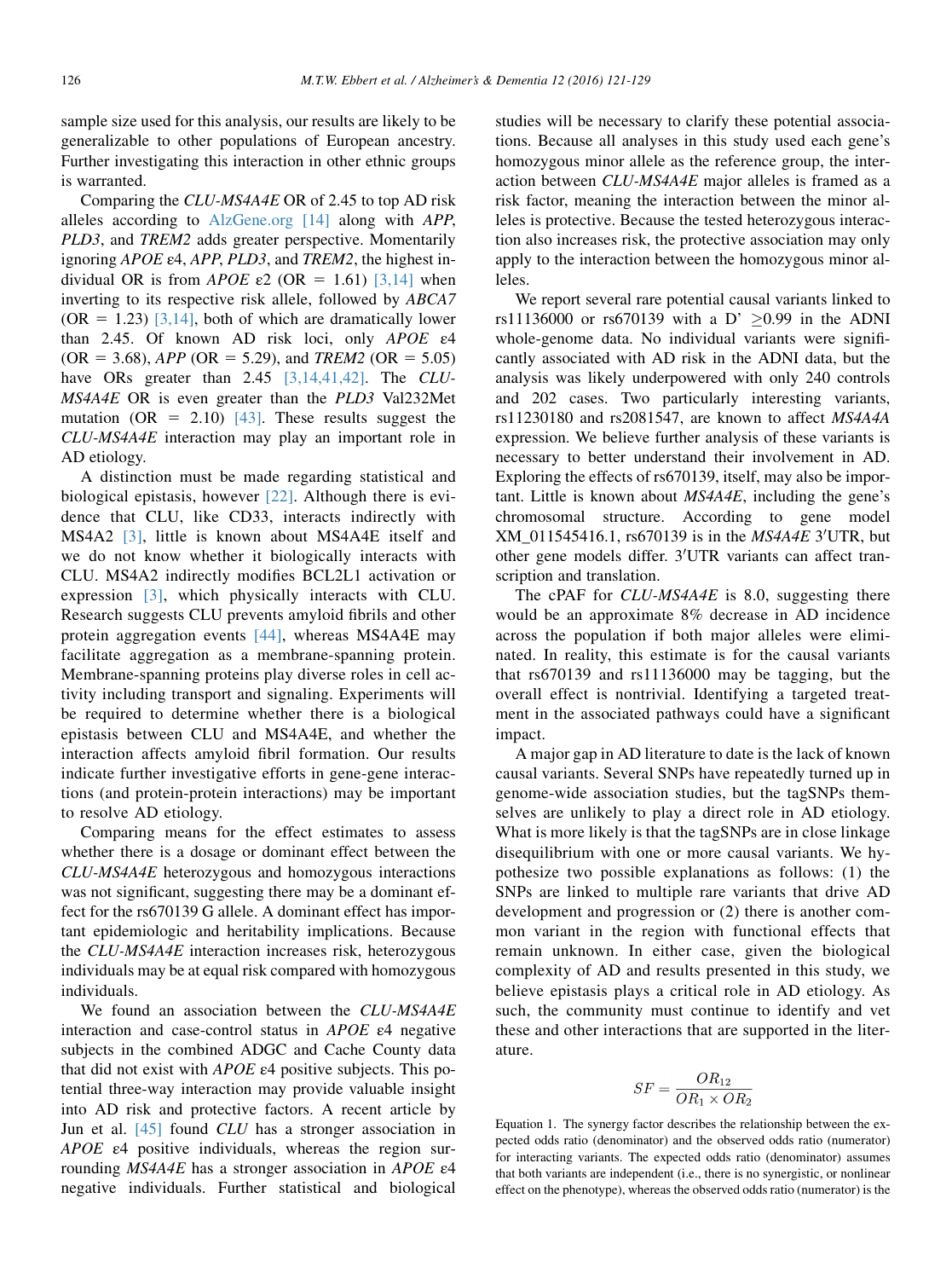<span id="page-5-0"></span>sample size used for this analysis, our results are likely to be generalizable to other populations of European ancestry. Further investigating this interaction in other ethnic groups is warranted.

Comparing the CLU-MS4A4E OR of 2.45 to top AD risk alleles according to [AlzGene.org](http://AlzGene.org) [\[14\]](#page-8-0) along with APP, PLD3, and TREM2 adds greater perspective. Momentarily ignoring APOE ε4, APP, PLD3, and TREM2, the highest in-dividual OR is from APOE ε2 (OR = 1.61) [\[3,14\]](#page-7-0) when inverting to its respective risk allele, followed by ABCA7  $(OR = 1.23)$  [\[3,14\],](#page-7-0) both of which are dramatically lower than 2.45. Of known AD risk loci, only APOE ε4  $(OR = 3.68)$ ,  $APP (OR = 5.29)$ , and  $TREM2 (OR = 5.05)$ have ORs greater than 2.45 [\[3,14,41,42\].](#page-7-0) The CLU-MS4A4E OR is even greater than the PLD3 Val232Met mutation (OR = 2.10) [\[43\]](#page-8-0). These results suggest the CLU-MS4A4E interaction may play an important role in AD etiology.

A distinction must be made regarding statistical and biological epistasis, however [\[22\].](#page-8-0) Although there is evidence that CLU, like CD33, interacts indirectly with MS4A2 [\[3\]](#page-7-0), little is known about MS4A4E itself and we do not know whether it biologically interacts with CLU. MS4A2 indirectly modifies BCL2L1 activation or expression [\[3\],](#page-7-0) which physically interacts with CLU. Research suggests CLU prevents amyloid fibrils and other protein aggregation events [\[44\],](#page-8-0) whereas MS4A4E may facilitate aggregation as a membrane-spanning protein. Membrane-spanning proteins play diverse roles in cell activity including transport and signaling. Experiments will be required to determine whether there is a biological epistasis between CLU and MS4A4E, and whether the interaction affects amyloid fibril formation. Our results indicate further investigative efforts in gene-gene interactions (and protein-protein interactions) may be important to resolve AD etiology.

Comparing means for the effect estimates to assess whether there is a dosage or dominant effect between the CLU-MS4A4E heterozygous and homozygous interactions was not significant, suggesting there may be a dominant effect for the rs670139 G allele. A dominant effect has important epidemiologic and heritability implications. Because the CLU-MS4A4E interaction increases risk, heterozygous individuals may be at equal risk compared with homozygous individuals.

We found an association between the CLU-MS4A4E interaction and case-control status in APOE ε4 negative subjects in the combined ADGC and Cache County data that did not exist with  $APOE$   $\varepsilon$ 4 positive subjects. This potential three-way interaction may provide valuable insight into AD risk and protective factors. A recent article by Jun et al. [\[45\]](#page-8-0) found CLU has a stronger association in APOE ε4 positive individuals, whereas the region surrounding MS4A4E has a stronger association in APOE ε4 negative individuals. Further statistical and biological studies will be necessary to clarify these potential associations. Because all analyses in this study used each gene's homozygous minor allele as the reference group, the interaction between CLU-MS4A4E major alleles is framed as a risk factor, meaning the interaction between the minor alleles is protective. Because the tested heterozygous interaction also increases risk, the protective association may only apply to the interaction between the homozygous minor alleles.

We report several rare potential causal variants linked to rs11136000 or rs670139 with a D'  $\geq$ 0.99 in the ADNI whole-genome data. No individual variants were significantly associated with AD risk in the ADNI data, but the analysis was likely underpowered with only 240 controls and 202 cases. Two particularly interesting variants, rs11230180 and rs2081547, are known to affect MS4A4A expression. We believe further analysis of these variants is necessary to better understand their involvement in AD. Exploring the effects of rs670139, itself, may also be important. Little is known about MS4A4E, including the gene's chromosomal structure. According to gene model  $XM\_011545416.1$ , rs670139 is in the  $MS4A4E$  3'UTR, but other gene models differ. 3'UTR variants can affect transcription and translation.

The cPAF for *CLU-MS4A4E* is 8.0, suggesting there would be an approximate 8% decrease in AD incidence across the population if both major alleles were eliminated. In reality, this estimate is for the causal variants that rs670139 and rs11136000 may be tagging, but the overall effect is nontrivial. Identifying a targeted treatment in the associated pathways could have a significant impact.

A major gap in AD literature to date is the lack of known causal variants. Several SNPs have repeatedly turned up in genome-wide association studies, but the tagSNPs themselves are unlikely to play a direct role in AD etiology. What is more likely is that the tagSNPs are in close linkage disequilibrium with one or more causal variants. We hypothesize two possible explanations as follows: (1) the SNPs are linked to multiple rare variants that drive AD development and progression or (2) there is another common variant in the region with functional effects that remain unknown. In either case, given the biological complexity of AD and results presented in this study, we believe epistasis plays a critical role in AD etiology. As such, the community must continue to identify and vet these and other interactions that are supported in the literature.

$$
SF = \frac{OR_{12}}{OR_1 \times OR_2}
$$

Equation 1. The synergy factor describes the relationship between the expected odds ratio (denominator) and the observed odds ratio (numerator) for interacting variants. The expected odds ratio (denominator) assumes that both variants are independent (i.e., there is no synergistic, or nonlinear effect on the phenotype), whereas the observed odds ratio (numerator) is the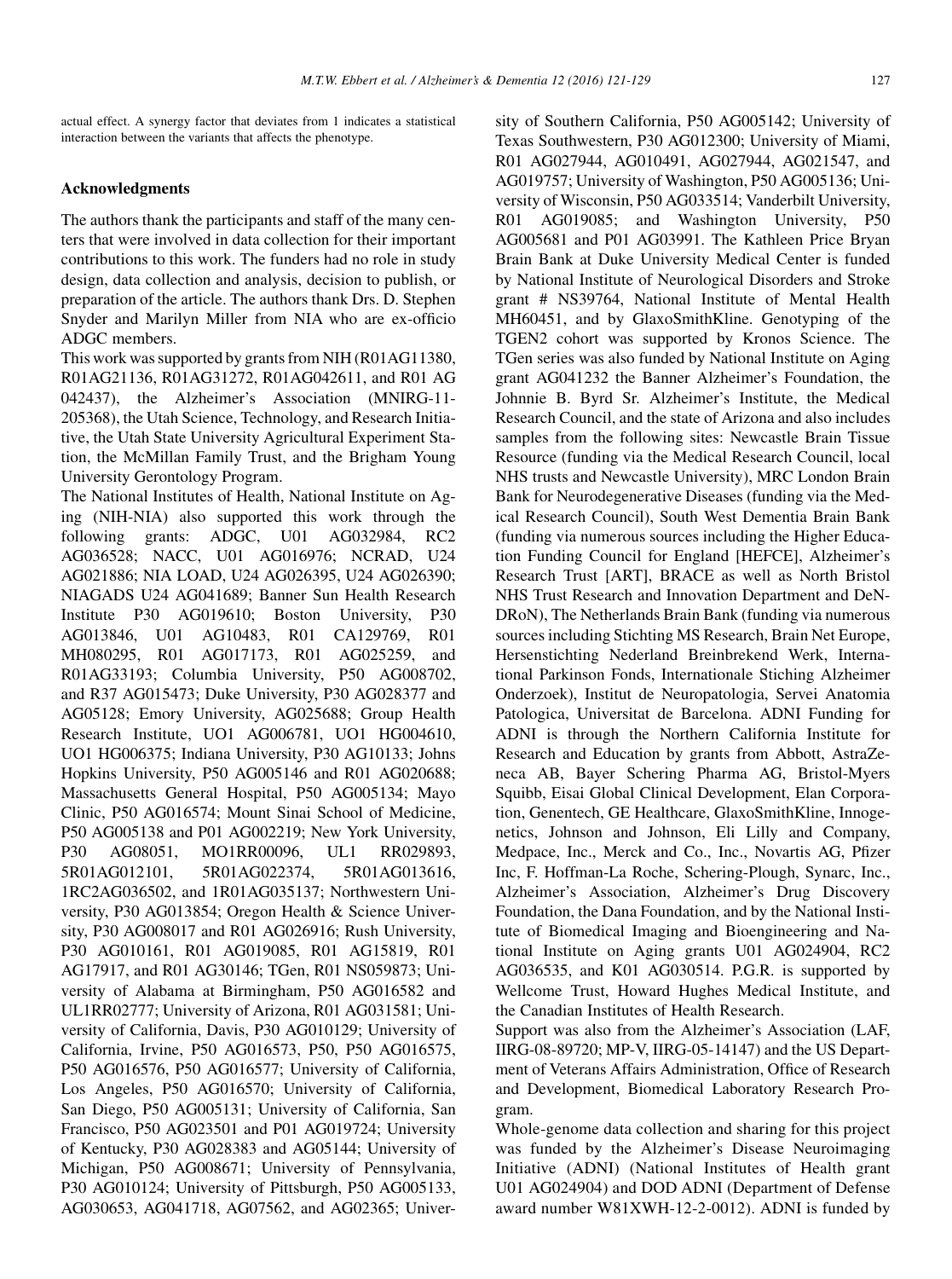actual effect. A synergy factor that deviates from 1 indicates a statistical interaction between the variants that affects the phenotype.

#### Acknowledgments

The authors thank the participants and staff of the many centers that were involved in data collection for their important contributions to this work. The funders had no role in study design, data collection and analysis, decision to publish, or preparation of the article. The authors thank Drs. D. Stephen Snyder and Marilyn Miller from NIA who are ex-officio ADGC members.

This work was supported by grants from NIH (R01AG11380, R01AG21136, R01AG31272, R01AG042611, and R01 AG 042437), the Alzheimer's Association (MNIRG-11- 205368), the Utah Science, Technology, and Research Initiative, the Utah State University Agricultural Experiment Station, the McMillan Family Trust, and the Brigham Young University Gerontology Program.

The National Institutes of Health, National Institute on Aging (NIH-NIA) also supported this work through the following grants: ADGC, U01 AG032984, RC2 AG036528; NACC, U01 AG016976; NCRAD, U24 AG021886; NIA LOAD, U24 AG026395, U24 AG026390; NIAGADS U24 AG041689; Banner Sun Health Research Institute P30 AG019610; Boston University, P30 AG013846, U01 AG10483, R01 CA129769, R01 MH080295, R01 AG017173, R01 AG025259, and R01AG33193; Columbia University, P50 AG008702, and R37 AG015473; Duke University, P30 AG028377 and AG05128; Emory University, AG025688; Group Health Research Institute, UO1 AG006781, UO1 HG004610, UO1 HG006375; Indiana University, P30 AG10133; Johns Hopkins University, P50 AG005146 and R01 AG020688; Massachusetts General Hospital, P50 AG005134; Mayo Clinic, P50 AG016574; Mount Sinai School of Medicine, P50 AG005138 and P01 AG002219; New York University, P30 AG08051, MO1RR00096, UL1 RR029893, 5R01AG012101, 5R01AG022374, 5R01AG013616, 1RC2AG036502, and 1R01AG035137; Northwestern University, P30 AG013854; Oregon Health & Science University, P30 AG008017 and R01 AG026916; Rush University, P30 AG010161, R01 AG019085, R01 AG15819, R01 AG17917, and R01 AG30146; TGen, R01 NS059873; University of Alabama at Birmingham, P50 AG016582 and UL1RR02777; University of Arizona, R01 AG031581; University of California, Davis, P30 AG010129; University of California, Irvine, P50 AG016573, P50, P50 AG016575, P50 AG016576, P50 AG016577; University of California, Los Angeles, P50 AG016570; University of California, San Diego, P50 AG005131; University of California, San Francisco, P50 AG023501 and P01 AG019724; University of Kentucky, P30 AG028383 and AG05144; University of Michigan, P50 AG008671; University of Pennsylvania, P30 AG010124; University of Pittsburgh, P50 AG005133, AG030653, AG041718, AG07562, and AG02365; University of Southern California, P50 AG005142; University of Texas Southwestern, P30 AG012300; University of Miami, R01 AG027944, AG010491, AG027944, AG021547, and AG019757; University of Washington, P50 AG005136; University of Wisconsin, P50 AG033514; Vanderbilt University, R01 AG019085; and Washington University, P50 AG005681 and P01 AG03991. The Kathleen Price Bryan Brain Bank at Duke University Medical Center is funded by National Institute of Neurological Disorders and Stroke grant # NS39764, National Institute of Mental Health MH60451, and by GlaxoSmithKline. Genotyping of the TGEN2 cohort was supported by Kronos Science. The TGen series was also funded by National Institute on Aging grant AG041232 the Banner Alzheimer's Foundation, the Johnnie B. Byrd Sr. Alzheimer's Institute, the Medical Research Council, and the state of Arizona and also includes samples from the following sites: Newcastle Brain Tissue Resource (funding via the Medical Research Council, local NHS trusts and Newcastle University), MRC London Brain Bank for Neurodegenerative Diseases (funding via the Medical Research Council), South West Dementia Brain Bank (funding via numerous sources including the Higher Education Funding Council for England [HEFCE], Alzheimer's Research Trust [ART], BRACE as well as North Bristol NHS Trust Research and Innovation Department and DeN-DRoN), The Netherlands Brain Bank (funding via numerous sources including Stichting MS Research, Brain Net Europe, Hersenstichting Nederland Breinbrekend Werk, International Parkinson Fonds, Internationale Stiching Alzheimer Onderzoek), Institut de Neuropatologia, Servei Anatomia Patologica, Universitat de Barcelona. ADNI Funding for ADNI is through the Northern California Institute for Research and Education by grants from Abbott, AstraZeneca AB, Bayer Schering Pharma AG, Bristol-Myers Squibb, Eisai Global Clinical Development, Elan Corporation, Genentech, GE Healthcare, GlaxoSmithKline, Innogenetics, Johnson and Johnson, Eli Lilly and Company, Medpace, Inc., Merck and Co., Inc., Novartis AG, Pfizer Inc, F. Hoffman-La Roche, Schering-Plough, Synarc, Inc., Alzheimer's Association, Alzheimer's Drug Discovery Foundation, the Dana Foundation, and by the National Institute of Biomedical Imaging and Bioengineering and National Institute on Aging grants U01 AG024904, RC2 AG036535, and K01 AG030514. P.G.R. is supported by Wellcome Trust, Howard Hughes Medical Institute, and the Canadian Institutes of Health Research.

Support was also from the Alzheimer's Association (LAF, IIRG-08-89720; MP-V, IIRG-05-14147) and the US Department of Veterans Affairs Administration, Office of Research and Development, Biomedical Laboratory Research Program.

Whole-genome data collection and sharing for this project was funded by the Alzheimer's Disease Neuroimaging Initiative (ADNI) (National Institutes of Health grant U01 AG024904) and DOD ADNI (Department of Defense award number W81XWH-12-2-0012). ADNI is funded by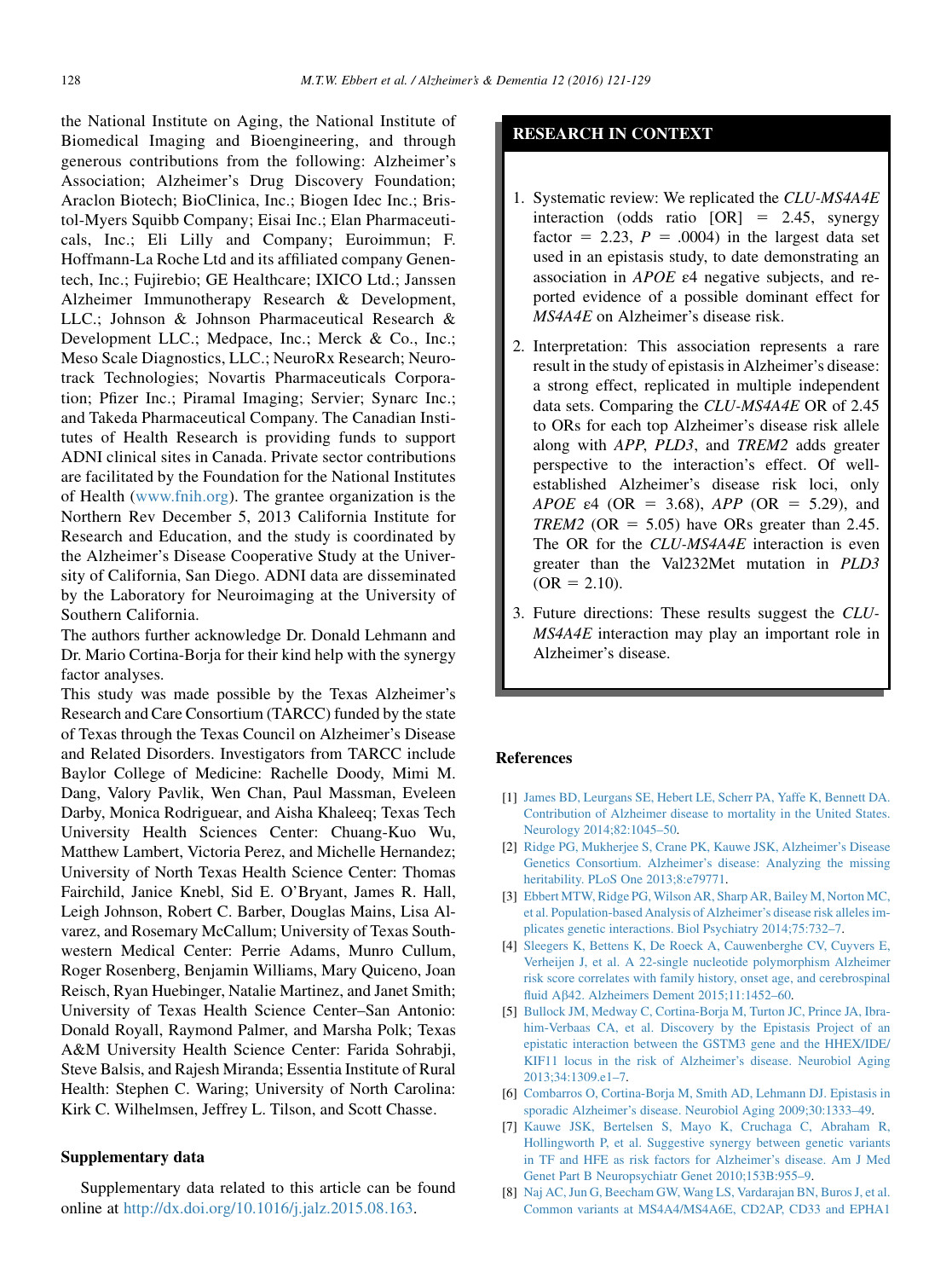<span id="page-7-0"></span>the National Institute on Aging, the National Institute of Biomedical Imaging and Bioengineering, and through generous contributions from the following: Alzheimer's Association; Alzheimer's Drug Discovery Foundation; Araclon Biotech; BioClinica, Inc.; Biogen Idec Inc.; Bristol-Myers Squibb Company; Eisai Inc.; Elan Pharmaceuticals, Inc.; Eli Lilly and Company; Euroimmun; F. Hoffmann-La Roche Ltd and its affiliated company Genentech, Inc.; Fujirebio; GE Healthcare; IXICO Ltd.; Janssen Alzheimer Immunotherapy Research & Development, LLC.; Johnson & Johnson Pharmaceutical Research & Development LLC.; Medpace, Inc.; Merck & Co., Inc.; Meso Scale Diagnostics, LLC.; NeuroRx Research; Neurotrack Technologies; Novartis Pharmaceuticals Corporation; Pfizer Inc.; Piramal Imaging; Servier; Synarc Inc.; and Takeda Pharmaceutical Company. The Canadian Institutes of Health Research is providing funds to support ADNI clinical sites in Canada. Private sector contributions are facilitated by the Foundation for the National Institutes of Health [\(www.fnih.org\)](http://www.fnih.org). The grantee organization is the Northern Rev December 5, 2013 California Institute for Research and Education, and the study is coordinated by the Alzheimer's Disease Cooperative Study at the University of California, San Diego. ADNI data are disseminated by the Laboratory for Neuroimaging at the University of Southern California.

The authors further acknowledge Dr. Donald Lehmann and Dr. Mario Cortina-Borja for their kind help with the synergy factor analyses.

This study was made possible by the Texas Alzheimer's Research and Care Consortium (TARCC) funded by the state of Texas through the Texas Council on Alzheimer's Disease and Related Disorders. Investigators from TARCC include Baylor College of Medicine: Rachelle Doody, Mimi M. Dang, Valory Pavlik, Wen Chan, Paul Massman, Eveleen Darby, Monica Rodriguear, and Aisha Khaleeq; Texas Tech University Health Sciences Center: Chuang-Kuo Wu, Matthew Lambert, Victoria Perez, and Michelle Hernandez; University of North Texas Health Science Center: Thomas Fairchild, Janice Knebl, Sid E. O'Bryant, James R. Hall, Leigh Johnson, Robert C. Barber, Douglas Mains, Lisa Alvarez, and Rosemary McCallum; University of Texas Southwestern Medical Center: Perrie Adams, Munro Cullum, Roger Rosenberg, Benjamin Williams, Mary Quiceno, Joan Reisch, Ryan Huebinger, Natalie Martinez, and Janet Smith; University of Texas Health Science Center–San Antonio: Donald Royall, Raymond Palmer, and Marsha Polk; Texas A&M University Health Science Center: Farida Sohrabji, Steve Balsis, and Rajesh Miranda; Essentia Institute of Rural Health: Stephen C. Waring; University of North Carolina: Kirk C. Wilhelmsen, Jeffrey L. Tilson, and Scott Chasse.

#### Supplementary data

Supplementary data related to this article can be found online at <http://dx.doi.org/10.1016/j.jalz.2015.08.163>.

### RESEARCH IN CONTEXT

- 1. Systematic review: We replicated the CLU-MS4A4E interaction (odds ratio  $[OR] = 2.45$ , synergy factor = 2.23,  $P = .0004$ ) in the largest data set used in an epistasis study, to date demonstrating an association in APOE ε4 negative subjects, and reported evidence of a possible dominant effect for MS4A4E on Alzheimer's disease risk.
- 2. Interpretation: This association represents a rare result in the study of epistasis in Alzheimer's disease: a strong effect, replicated in multiple independent data sets. Comparing the CLU-MS4A4E OR of 2.45 to ORs for each top Alzheimer's disease risk allele along with APP, PLD3, and TREM2 adds greater perspective to the interaction's effect. Of wellestablished Alzheimer's disease risk loci, only APOE  $\varepsilon$ 4 (OR = 3.68), APP (OR = 5.29), and TREM2 (OR = 5.05) have ORs greater than 2.45. The OR for the CLU-MS4A4E interaction is even greater than the Val232Met mutation in PLD3  $(OR = 2.10).$
- 3. Future directions: These results suggest the CLU-MS4A4E interaction may play an important role in Alzheimer's disease.

#### References

- [1] [James BD, Leurgans SE, Hebert LE, Scherr PA, Yaffe K, Bennett DA.](http://refhub.elsevier.com/S1552-5260(15)02866-6/sref1) [Contribution of Alzheimer disease to mortality in the United States.](http://refhub.elsevier.com/S1552-5260(15)02866-6/sref1) [Neurology 2014;82:1045–50.](http://refhub.elsevier.com/S1552-5260(15)02866-6/sref1)
- [2] [Ridge PG, Mukherjee S, Crane PK, Kauwe JSK, Alzheimer's Disease](http://refhub.elsevier.com/S1552-5260(15)02866-6/sref2) [Genetics Consortium. Alzheimer's disease: Analyzing the missing](http://refhub.elsevier.com/S1552-5260(15)02866-6/sref2) [heritability. PLoS One 2013;8:e79771](http://refhub.elsevier.com/S1552-5260(15)02866-6/sref2).
- [3] [Ebbert MTW, Ridge PG, Wilson AR, Sharp AR, Bailey M, Norton MC,](http://refhub.elsevier.com/S1552-5260(15)02866-6/sref3) [et al. Population-based Analysis of Alzheimer's disease risk alleles im](http://refhub.elsevier.com/S1552-5260(15)02866-6/sref3)[plicates genetic interactions. Biol Psychiatry 2014;75:732–7](http://refhub.elsevier.com/S1552-5260(15)02866-6/sref3).
- [4] [Sleegers K, Bettens K, De Roeck A, Cauwenberghe CV, Cuyvers E,](http://refhub.elsevier.com/S1552-5260(15)02866-6/sref4) [Verheijen J, et al. A 22-single nucleotide polymorphism Alzheimer](http://refhub.elsevier.com/S1552-5260(15)02866-6/sref4) [risk score correlates with family history, onset age, and cerebrospinal](http://refhub.elsevier.com/S1552-5260(15)02866-6/sref4) fluid Ab[42. Alzheimers Dement 2015;11:1452–60.](http://refhub.elsevier.com/S1552-5260(15)02866-6/sref4)
- [5] [Bullock JM, Medway C, Cortina-Borja M, Turton JC, Prince JA, Ibra](http://refhub.elsevier.com/S1552-5260(15)02866-6/sref5)[him-Verbaas CA, et al. Discovery by the Epistasis Project of an](http://refhub.elsevier.com/S1552-5260(15)02866-6/sref5) [epistatic interaction between the GSTM3 gene and the HHEX/IDE/](http://refhub.elsevier.com/S1552-5260(15)02866-6/sref5) [KIF11 locus in the risk of Alzheimer's disease. Neurobiol Aging](http://refhub.elsevier.com/S1552-5260(15)02866-6/sref5) [2013;34:1309.e1–7.](http://refhub.elsevier.com/S1552-5260(15)02866-6/sref5)
- [6] [Combarros O, Cortina-Borja M, Smith AD, Lehmann DJ. Epistasis in](http://refhub.elsevier.com/S1552-5260(15)02866-6/sref6) [sporadic Alzheimer's disease. Neurobiol Aging 2009;30:1333–49.](http://refhub.elsevier.com/S1552-5260(15)02866-6/sref6)
- [7] [Kauwe JSK, Bertelsen S, Mayo K, Cruchaga C, Abraham R,](http://refhub.elsevier.com/S1552-5260(15)02866-6/sref7) [Hollingworth P, et al. Suggestive synergy between genetic variants](http://refhub.elsevier.com/S1552-5260(15)02866-6/sref7) [in TF and HFE as risk factors for Alzheimer's disease. Am J Med](http://refhub.elsevier.com/S1552-5260(15)02866-6/sref7) [Genet Part B Neuropsychiatr Genet 2010;153B:955–9](http://refhub.elsevier.com/S1552-5260(15)02866-6/sref7).
- [8] [Naj AC, Jun G, Beecham GW, Wang LS, Vardarajan BN, Buros J, et al.](http://refhub.elsevier.com/S1552-5260(15)02866-6/sref8) [Common variants at MS4A4/MS4A6E, CD2AP, CD33 and EPHA1](http://refhub.elsevier.com/S1552-5260(15)02866-6/sref8)